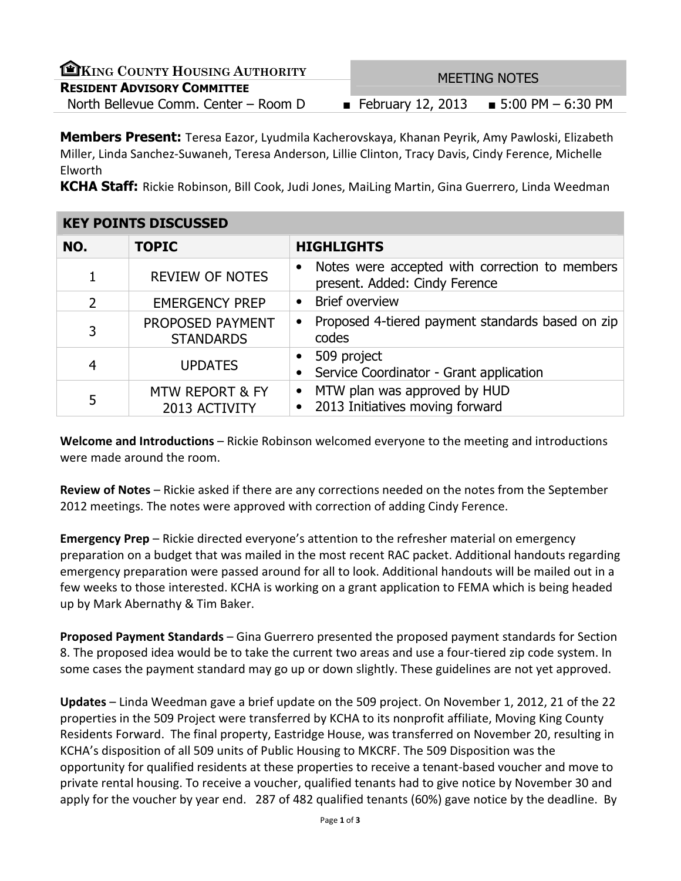| EKING COUNTY HOUSING AUTHORITY       | <b>MEETING NOTES</b>                     |  |
|--------------------------------------|------------------------------------------|--|
| <b>RESIDENT ADVISORY COMMITTEE</b>   |                                          |  |
| North Bellevue Comm. Center – Room D | ■ February 12, 2013 ■ 5:00 PM $-6:30$ PM |  |

**Members Present:** Teresa Eazor, Lyudmila Kacherovskaya, Khanan Peyrik, Amy Pawloski, Elizabeth Miller, Linda Sanchez-Suwaneh, Teresa Anderson, Lillie Clinton, Tracy Davis, Cindy Ference, Michelle Elworth

KCHA Staff: Rickie Robinson, Bill Cook, Judi Jones, MaiLing Martin, Gina Guerrero, Linda Weedman

| <b>KEY POINTS DISCUSSED</b> |                                             |                                                                                              |
|-----------------------------|---------------------------------------------|----------------------------------------------------------------------------------------------|
| NO.                         | <b>TOPIC</b>                                | <b>HIGHLIGHTS</b>                                                                            |
| 1                           | <b>REVIEW OF NOTES</b>                      | Notes were accepted with correction to members<br>$\bullet$<br>present. Added: Cindy Ference |
| $\overline{2}$              | <b>EMERGENCY PREP</b>                       | <b>Brief overview</b><br>$\bullet$                                                           |
| 3                           | PROPOSED PAYMENT<br><b>STANDARDS</b>        | Proposed 4-tiered payment standards based on zip<br>$\bullet$<br>codes                       |
| $\overline{4}$              | <b>UPDATES</b>                              | 509 project<br>$\bullet$<br>Service Coordinator - Grant application                          |
| 5                           | <b>MTW REPORT &amp; FY</b><br>2013 ACTIVITY | MTW plan was approved by HUD<br>$\bullet$<br>2013 Initiatives moving forward                 |

Welcome and Introductions – Rickie Robinson welcomed everyone to the meeting and introductions were made around the room.

Review of Notes – Rickie asked if there are any corrections needed on the notes from the September 2012 meetings. The notes were approved with correction of adding Cindy Ference.

Emergency Prep – Rickie directed everyone's attention to the refresher material on emergency preparation on a budget that was mailed in the most recent RAC packet. Additional handouts regarding emergency preparation were passed around for all to look. Additional handouts will be mailed out in a few weeks to those interested. KCHA is working on a grant application to FEMA which is being headed up by Mark Abernathy & Tim Baker.

Proposed Payment Standards – Gina Guerrero presented the proposed payment standards for Section 8. The proposed idea would be to take the current two areas and use a four-tiered zip code system. In some cases the payment standard may go up or down slightly. These guidelines are not yet approved.

Updates – Linda Weedman gave a brief update on the 509 project. On November 1, 2012, 21 of the 22 properties in the 509 Project were transferred by KCHA to its nonprofit affiliate, Moving King County Residents Forward. The final property, Eastridge House, was transferred on November 20, resulting in KCHA's disposition of all 509 units of Public Housing to MKCRF. The 509 Disposition was the opportunity for qualified residents at these properties to receive a tenant-based voucher and move to private rental housing. To receive a voucher, qualified tenants had to give notice by November 30 and apply for the voucher by year end. 287 of 482 qualified tenants (60%) gave notice by the deadline. By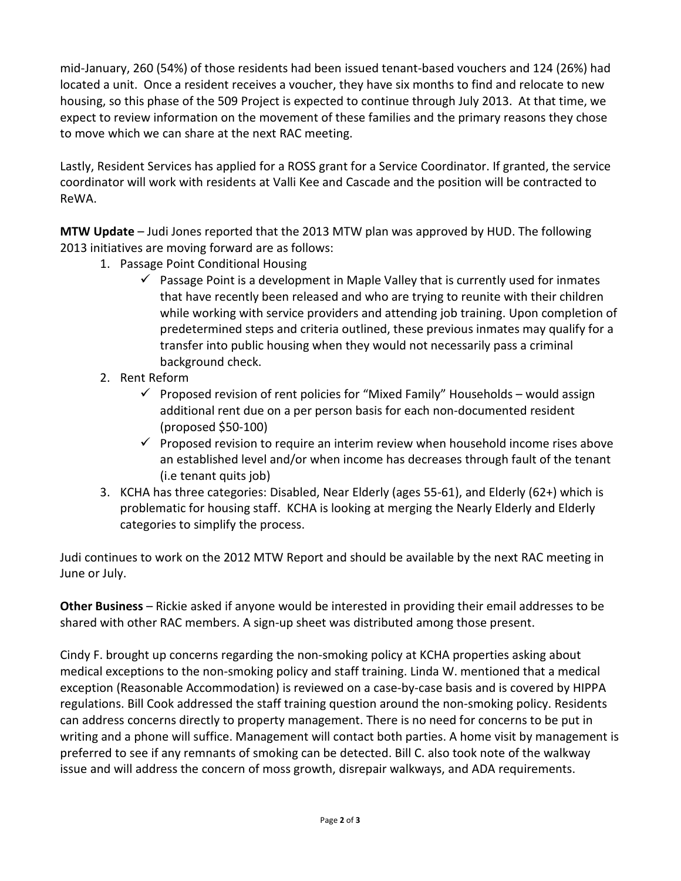mid-January, 260 (54%) of those residents had been issued tenant-based vouchers and 124 (26%) had located a unit. Once a resident receives a voucher, they have six months to find and relocate to new housing, so this phase of the 509 Project is expected to continue through July 2013. At that time, we expect to review information on the movement of these families and the primary reasons they chose to move which we can share at the next RAC meeting.

Lastly, Resident Services has applied for a ROSS grant for a Service Coordinator. If granted, the service coordinator will work with residents at Valli Kee and Cascade and the position will be contracted to ReWA.

MTW Update – Judi Jones reported that the 2013 MTW plan was approved by HUD. The following 2013 initiatives are moving forward are as follows:

- 1. Passage Point Conditional Housing
	- $\checkmark$  Passage Point is a development in Maple Valley that is currently used for inmates that have recently been released and who are trying to reunite with their children while working with service providers and attending job training. Upon completion of predetermined steps and criteria outlined, these previous inmates may qualify for a transfer into public housing when they would not necessarily pass a criminal background check.
- 2. Rent Reform
	- $\checkmark$  Proposed revision of rent policies for "Mixed Family" Households would assign additional rent due on a per person basis for each non-documented resident (proposed \$50-100)
	- $\checkmark$  Proposed revision to require an interim review when household income rises above an established level and/or when income has decreases through fault of the tenant (i.e tenant quits job)
- 3. KCHA has three categories: Disabled, Near Elderly (ages 55-61), and Elderly (62+) which is problematic for housing staff. KCHA is looking at merging the Nearly Elderly and Elderly categories to simplify the process.

Judi continues to work on the 2012 MTW Report and should be available by the next RAC meeting in June or July.

Other Business – Rickie asked if anyone would be interested in providing their email addresses to be shared with other RAC members. A sign-up sheet was distributed among those present.

Cindy F. brought up concerns regarding the non-smoking policy at KCHA properties asking about medical exceptions to the non-smoking policy and staff training. Linda W. mentioned that a medical exception (Reasonable Accommodation) is reviewed on a case-by-case basis and is covered by HIPPA regulations. Bill Cook addressed the staff training question around the non-smoking policy. Residents can address concerns directly to property management. There is no need for concerns to be put in writing and a phone will suffice. Management will contact both parties. A home visit by management is preferred to see if any remnants of smoking can be detected. Bill C. also took note of the walkway issue and will address the concern of moss growth, disrepair walkways, and ADA requirements.